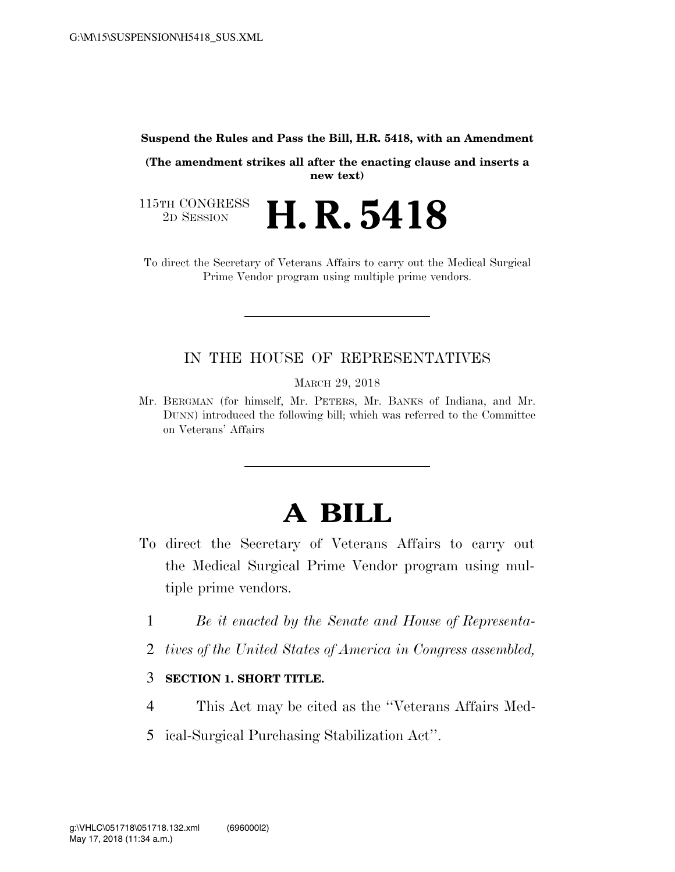**Suspend the Rules and Pass the Bill, H.R. 5418, with an Amendment** 

**(The amendment strikes all after the enacting clause and inserts a new text)** 

115TH CONGRESS<br>2D SESSION 2D SESSION **H. R. 5418**

To direct the Secretary of Veterans Affairs to carry out the Medical Surgical Prime Vendor program using multiple prime vendors.

## IN THE HOUSE OF REPRESENTATIVES

MARCH 29, 2018

Mr. BERGMAN (for himself, Mr. PETERS, Mr. BANKS of Indiana, and Mr. DUNN) introduced the following bill; which was referred to the Committee on Veterans' Affairs

## **A BILL**

- To direct the Secretary of Veterans Affairs to carry out the Medical Surgical Prime Vendor program using multiple prime vendors.
	- 1 *Be it enacted by the Senate and House of Representa-*
	- 2 *tives of the United States of America in Congress assembled,*

## 3 **SECTION 1. SHORT TITLE.**

- 4 This Act may be cited as the ''Veterans Affairs Med-
- 5 ical-Surgical Purchasing Stabilization Act''.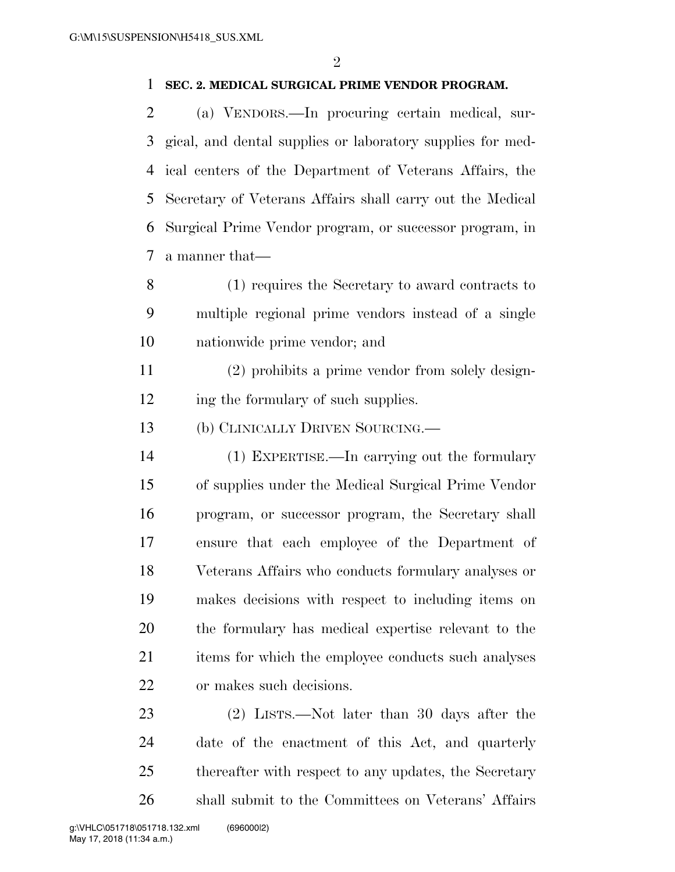## **SEC. 2. MEDICAL SURGICAL PRIME VENDOR PROGRAM.**

 (a) VENDORS.—In procuring certain medical, sur- gical, and dental supplies or laboratory supplies for med- ical centers of the Department of Veterans Affairs, the Secretary of Veterans Affairs shall carry out the Medical Surgical Prime Vendor program, or successor program, in a manner that—

 (1) requires the Secretary to award contracts to multiple regional prime vendors instead of a single nationwide prime vendor; and

 (2) prohibits a prime vendor from solely design-12 ing the formulary of such supplies.

(b) CLINICALLY DRIVEN SOURCING.—

 (1) EXPERTISE.—In carrying out the formulary of supplies under the Medical Surgical Prime Vendor program, or successor program, the Secretary shall ensure that each employee of the Department of Veterans Affairs who conducts formulary analyses or makes decisions with respect to including items on the formulary has medical expertise relevant to the 21 items for which the employee conducts such analyses or makes such decisions.

 (2) LISTS.—Not later than 30 days after the date of the enactment of this Act, and quarterly thereafter with respect to any updates, the Secretary shall submit to the Committees on Veterans' Affairs